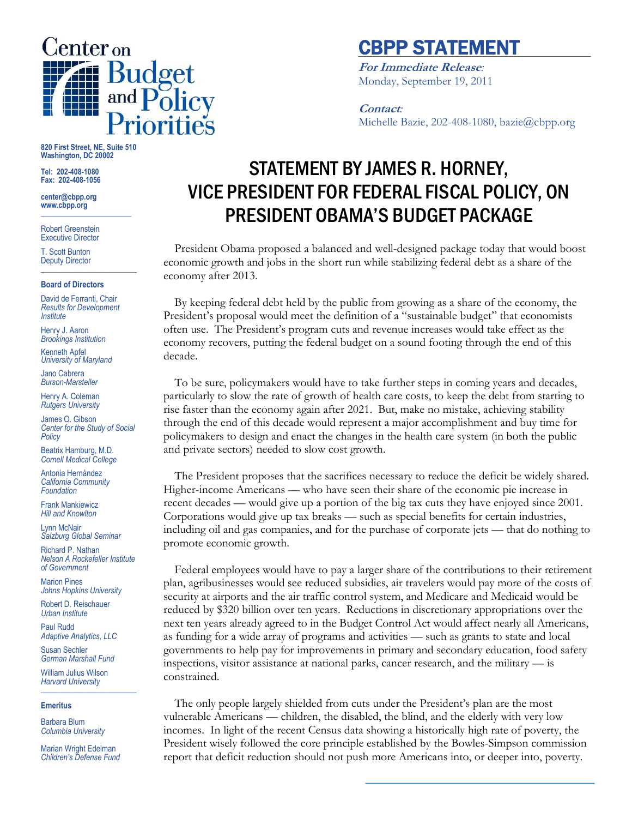

## CBPP STATEMENT

**For Immediate Release***:* Monday, September 19, 2011

### **Contact***:* Michelle Bazie, 202-408-1080, bazie@cbpp.org

**820 First Street, NE, Suite 510 Washington, DC 20002**

**Tel: 202-408-1080 Fax: 202-408-1056**

**center@cbpp.org www.cbpp.org \_\_\_\_\_\_\_\_\_\_\_\_\_\_\_\_\_\_\_\_\_\_\_\_**

Robert Greenstein Executive Director

T. Scott Bunton Deputy Director **\_\_\_\_\_\_\_\_\_\_\_\_\_\_\_\_\_\_\_\_\_\_\_\_**

#### **Board of Directors**

David de Ferranti, Chair *Results for Development Institute*

Henry J. Aaron *Brookings Institution*

Kenneth Apfel *University of Maryland*

Jano Cabrera *Burson-Marsteller*

Henry A. Coleman *Rutgers University*

James O. Gibson *Center for the Study of Social Policy*

Beatrix Hamburg, M.D. *Cornell Medical College*

Antonia Hernández *California Community Foundation*

Frank Mankiewicz *Hill and Knowlton*

Lynn McNair *Salzburg Global Seminar*

Richard P. Nathan *Nelson A Rockefeller Institute of Government*

Marion Pines *Johns Hopkins University*

Robert D. Reischauer *Urban Institute*

Paul Rudd *Adaptive Analytics, LLC*

Susan Sechler *German Marshall Fund*

William Julius Wilson *Harvard University* **\_\_\_\_\_\_\_\_\_\_\_\_\_\_\_\_\_\_\_\_\_\_\_\_**

### **Emeritus**

Barbara Blum *Columbia University*

Marian Wright Edelman *Children's Defense Fund*

# STATEMENT BY JAMES R. HORNEY, VICE PRESIDENT FOR FEDERAL FISCAL POLICY, ON PRESIDENT OBAMA'S BUDGET PACKAGE

President Obama proposed a balanced and well-designed package today that would boost economic growth and jobs in the short run while stabilizing federal debt as a share of the economy after 2013.

By keeping federal debt held by the public from growing as a share of the economy, the President's proposal would meet the definition of a "sustainable budget" that economists often use. The President's program cuts and revenue increases would take effect as the economy recovers, putting the federal budget on a sound footing through the end of this decade.

To be sure, policymakers would have to take further steps in coming years and decades, particularly to slow the rate of growth of health care costs, to keep the debt from starting to rise faster than the economy again after 2021. But, make no mistake, achieving stability through the end of this decade would represent a major accomplishment and buy time for policymakers to design and enact the changes in the health care system (in both the public and private sectors) needed to slow cost growth.

The President proposes that the sacrifices necessary to reduce the deficit be widely shared. Higher-income Americans — who have seen their share of the economic pie increase in recent decades — would give up a portion of the big tax cuts they have enjoyed since 2001. Corporations would give up tax breaks — such as special benefits for certain industries, including oil and gas companies, and for the purchase of corporate jets — that do nothing to promote economic growth.

Federal employees would have to pay a larger share of the contributions to their retirement plan, agribusinesses would see reduced subsidies, air travelers would pay more of the costs of security at airports and the air traffic control system, and Medicare and Medicaid would be reduced by \$320 billion over ten years. Reductions in discretionary appropriations over the next ten years already agreed to in the Budget Control Act would affect nearly all Americans, as funding for a wide array of programs and activities — such as grants to state and local governments to help pay for improvements in primary and secondary education, food safety inspections, visitor assistance at national parks, cancer research, and the military — is constrained.

The only people largely shielded from cuts under the President's plan are the most vulnerable Americans — children, the disabled, the blind, and the elderly with very low incomes. In light of the recent Census data showing a historically high rate of poverty, the President wisely followed the core principle established by the Bowles-Simpson commission report that deficit reduction should not push more Americans into, or deeper into, poverty.

**\_\_\_\_\_\_\_\_\_\_\_\_\_\_\_\_\_\_\_\_\_\_\_\_\_\_\_\_\_\_\_\_\_\_\_\_\_**